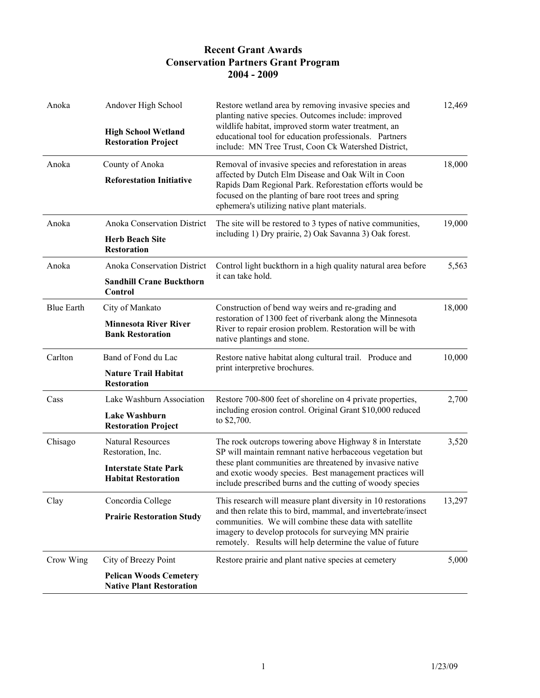| Anoka             | Andover High School<br><b>High School Wetland</b><br><b>Restoration Project</b> | Restore wetland area by removing invasive species and<br>planting native species. Outcomes include: improved<br>wildlife habitat, improved storm water treatment, an<br>educational tool for education professionals. Partners<br>include: MN Tree Trust, Coon Ck Watershed District,                          | 12,469 |
|-------------------|---------------------------------------------------------------------------------|----------------------------------------------------------------------------------------------------------------------------------------------------------------------------------------------------------------------------------------------------------------------------------------------------------------|--------|
| Anoka             | County of Anoka                                                                 | Removal of invasive species and reforestation in areas<br>affected by Dutch Elm Disease and Oak Wilt in Coon<br>Rapids Dam Regional Park. Reforestation efforts would be<br>focused on the planting of bare root trees and spring<br>ephemera's utilizing native plant materials.                              | 18,000 |
|                   | <b>Reforestation Initiative</b>                                                 |                                                                                                                                                                                                                                                                                                                |        |
| Anoka             | Anoka Conservation District                                                     | The site will be restored to 3 types of native communities,<br>including 1) Dry prairie, 2) Oak Savanna 3) Oak forest.                                                                                                                                                                                         | 19,000 |
|                   | <b>Herb Beach Site</b><br><b>Restoration</b>                                    |                                                                                                                                                                                                                                                                                                                |        |
| Anoka             | <b>Anoka Conservation District</b>                                              | Control light buckthorn in a high quality natural area before<br>it can take hold.                                                                                                                                                                                                                             | 5,563  |
|                   | <b>Sandhill Crane Buckthorn</b><br>Control                                      |                                                                                                                                                                                                                                                                                                                |        |
| <b>Blue Earth</b> | City of Mankato                                                                 | Construction of bend way weirs and re-grading and                                                                                                                                                                                                                                                              | 18,000 |
|                   | <b>Minnesota River River</b><br><b>Bank Restoration</b>                         | restoration of 1300 feet of riverbank along the Minnesota<br>River to repair erosion problem. Restoration will be with<br>native plantings and stone.                                                                                                                                                          |        |
| Carlton           | Band of Fond du Lac                                                             | Restore native habitat along cultural trail. Produce and<br>print interpretive brochures.                                                                                                                                                                                                                      | 10,000 |
|                   | <b>Nature Trail Habitat</b><br><b>Restoration</b>                               |                                                                                                                                                                                                                                                                                                                |        |
| Cass              | Lake Washburn Association                                                       | Restore 700-800 feet of shoreline on 4 private properties,<br>including erosion control. Original Grant \$10,000 reduced<br>to \$2,700.                                                                                                                                                                        | 2,700  |
|                   | Lake Washburn<br><b>Restoration Project</b>                                     |                                                                                                                                                                                                                                                                                                                |        |
| Chisago           | <b>Natural Resources</b><br>Restoration, Inc.                                   | The rock outcrops towering above Highway 8 in Interstate<br>SP will maintain remnant native herbaceous vegetation but<br>these plant communities are threatened by invasive native<br>and exotic woody species. Best management practices will<br>include prescribed burns and the cutting of woody species    | 3,520  |
|                   | <b>Interstate State Park</b><br><b>Habitat Restoration</b>                      |                                                                                                                                                                                                                                                                                                                |        |
| Clay              | Concordia College                                                               | This research will measure plant diversity in 10 restorations<br>and then relate this to bird, mammal, and invertebrate/insect<br>communities. We will combine these data with satellite<br>imagery to develop protocols for surveying MN prairie<br>remotely. Results will help determine the value of future | 13,297 |
|                   | <b>Prairie Restoration Study</b>                                                |                                                                                                                                                                                                                                                                                                                |        |
| Crow Wing         | City of Breezy Point                                                            | Restore prairie and plant native species at cemetery                                                                                                                                                                                                                                                           | 5,000  |
|                   | <b>Pelican Woods Cemetery</b><br><b>Native Plant Restoration</b>                |                                                                                                                                                                                                                                                                                                                |        |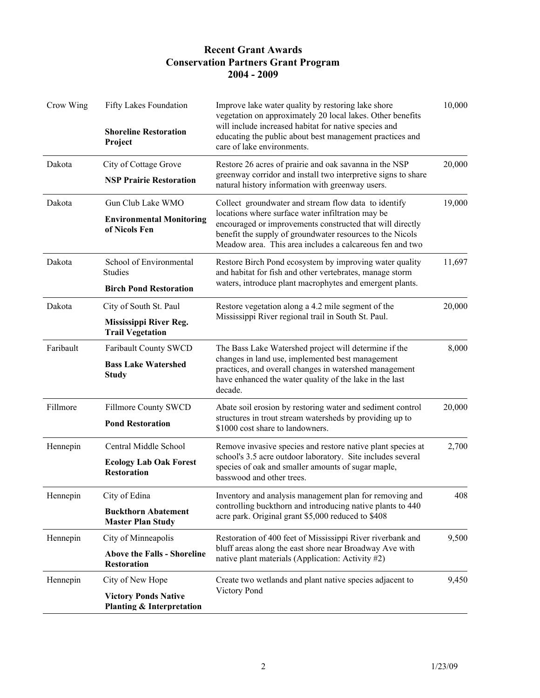| Crow Wing                                                                                | Fifty Lakes Foundation<br><b>Shoreline Restoration</b><br>Project          | Improve lake water quality by restoring lake shore<br>vegetation on approximately 20 local lakes. Other benefits<br>will include increased habitat for native species and<br>educating the public about best management practices and<br>care of lake environments.                             | 10,000 |
|------------------------------------------------------------------------------------------|----------------------------------------------------------------------------|-------------------------------------------------------------------------------------------------------------------------------------------------------------------------------------------------------------------------------------------------------------------------------------------------|--------|
| Dakota                                                                                   | City of Cottage Grove<br><b>NSP Prairie Restoration</b>                    | Restore 26 acres of prairie and oak savanna in the NSP<br>greenway corridor and install two interpretive signs to share<br>natural history information with greenway users.                                                                                                                     | 20,000 |
| Dakota                                                                                   | Gun Club Lake WMO                                                          | Collect groundwater and stream flow data to identify<br>locations where surface water infiltration may be<br>encouraged or improvements constructed that will directly<br>benefit the supply of groundwater resources to the Nicols<br>Meadow area. This area includes a calcareous fen and two | 19,000 |
|                                                                                          | <b>Environmental Monitoring</b><br>of Nicols Fen                           |                                                                                                                                                                                                                                                                                                 |        |
| Dakota                                                                                   | School of Environmental<br><b>Studies</b>                                  | Restore Birch Pond ecosystem by improving water quality<br>and habitat for fish and other vertebrates, manage storm                                                                                                                                                                             | 11,697 |
|                                                                                          | <b>Birch Pond Restoration</b>                                              | waters, introduce plant macrophytes and emergent plants.                                                                                                                                                                                                                                        |        |
| Dakota                                                                                   | City of South St. Paul                                                     | Restore vegetation along a 4.2 mile segment of the<br>Mississippi River regional trail in South St. Paul.                                                                                                                                                                                       | 20,000 |
|                                                                                          | Mississippi River Reg.<br><b>Trail Vegetation</b>                          |                                                                                                                                                                                                                                                                                                 |        |
| Faribault                                                                                | <b>Faribault County SWCD</b><br><b>Bass Lake Watershed</b><br><b>Study</b> | The Bass Lake Watershed project will determine if the<br>changes in land use, implemented best management<br>practices, and overall changes in watershed management<br>have enhanced the water quality of the lake in the last<br>decade.                                                       | 8,000  |
| Fillmore                                                                                 | <b>Fillmore County SWCD</b><br><b>Pond Restoration</b>                     | Abate soil erosion by restoring water and sediment control<br>structures in trout stream watersheds by providing up to<br>\$1000 cost share to landowners.                                                                                                                                      | 20,000 |
| Central Middle School<br>Hennepin<br><b>Ecology Lab Oak Forest</b><br><b>Restoration</b> | Remove invasive species and restore native plant species at                | 2,700                                                                                                                                                                                                                                                                                           |        |
|                                                                                          |                                                                            | school's 3.5 acre outdoor laboratory. Site includes several<br>species of oak and smaller amounts of sugar maple,<br>basswood and other trees.                                                                                                                                                  |        |
| Hennepin                                                                                 | City of Edina                                                              | Inventory and analysis management plan for removing and<br>controlling buckthorn and introducing native plants to 440<br>acre park. Original grant \$5,000 reduced to \$408                                                                                                                     | 408    |
|                                                                                          | <b>Buckthorn Abatement</b><br><b>Master Plan Study</b>                     |                                                                                                                                                                                                                                                                                                 |        |
| Hennepin                                                                                 | City of Minneapolis                                                        | Restoration of 400 feet of Mississippi River riverbank and<br>bluff areas along the east shore near Broadway Ave with<br>native plant materials (Application: Activity #2)                                                                                                                      | 9,500  |
|                                                                                          | <b>Above the Falls - Shoreline</b><br><b>Restoration</b>                   |                                                                                                                                                                                                                                                                                                 |        |
| Hennepin                                                                                 | City of New Hope                                                           | Create two wetlands and plant native species adjacent to<br>Victory Pond                                                                                                                                                                                                                        | 9,450  |
|                                                                                          | <b>Victory Ponds Native</b><br>Planting & Interpretation                   |                                                                                                                                                                                                                                                                                                 |        |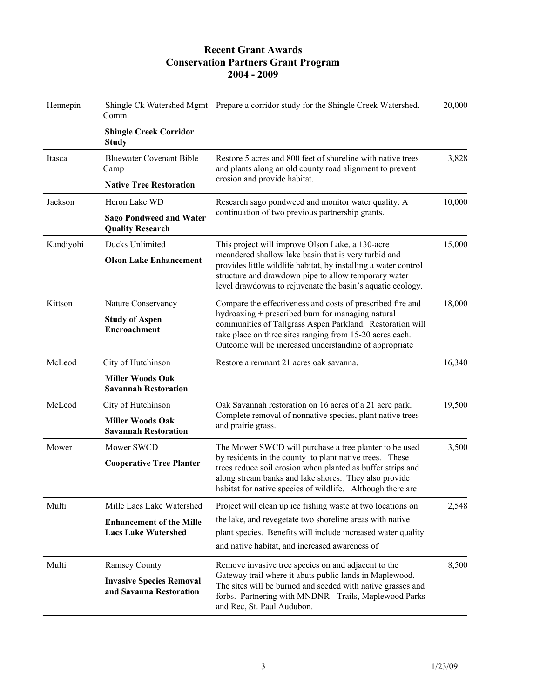| Hennepin  | Comm.                                                         | Shingle Ck Watershed Mgmt Prepare a corridor study for the Shingle Creek Watershed.                                                                                                                                                                                                                     | 20,000 |
|-----------|---------------------------------------------------------------|---------------------------------------------------------------------------------------------------------------------------------------------------------------------------------------------------------------------------------------------------------------------------------------------------------|--------|
|           | <b>Shingle Creek Corridor</b><br><b>Study</b>                 |                                                                                                                                                                                                                                                                                                         |        |
| Itasca    | <b>Bluewater Covenant Bible</b><br>Camp                       | Restore 5 acres and 800 feet of shoreline with native trees<br>and plants along an old county road alignment to prevent<br>erosion and provide habitat.                                                                                                                                                 | 3,828  |
|           | <b>Native Tree Restoration</b>                                |                                                                                                                                                                                                                                                                                                         |        |
| Jackson   | Heron Lake WD                                                 | Research sago pondweed and monitor water quality. A<br>continuation of two previous partnership grants.                                                                                                                                                                                                 | 10,000 |
|           | <b>Sago Pondweed and Water</b><br><b>Quality Research</b>     |                                                                                                                                                                                                                                                                                                         |        |
| Kandiyohi | Ducks Unlimited                                               | This project will improve Olson Lake, a 130-acre<br>meandered shallow lake basin that is very turbid and<br>provides little wildlife habitat, by installing a water control<br>structure and drawdown pipe to allow temporary water<br>level drawdowns to rejuvenate the basin's aquatic ecology.       | 15,000 |
|           | <b>Olson Lake Enhancement</b>                                 |                                                                                                                                                                                                                                                                                                         |        |
| Kittson   | Nature Conservancy                                            | Compare the effectiveness and costs of prescribed fire and<br>hydroaxing + prescribed burn for managing natural<br>communities of Tallgrass Aspen Parkland. Restoration will<br>take place on three sites ranging from 15-20 acres each.<br>Outcome will be increased understanding of appropriate      | 18,000 |
|           | <b>Study of Aspen</b><br><b>Encroachment</b>                  |                                                                                                                                                                                                                                                                                                         |        |
| McLeod    | City of Hutchinson                                            | Restore a remnant 21 acres oak savanna.                                                                                                                                                                                                                                                                 | 16,340 |
|           | <b>Miller Woods Oak</b><br><b>Savannah Restoration</b>        |                                                                                                                                                                                                                                                                                                         |        |
| McLeod    | City of Hutchinson                                            | Oak Savannah restoration on 16 acres of a 21 acre park.                                                                                                                                                                                                                                                 | 19,500 |
|           | <b>Miller Woods Oak</b><br><b>Savannah Restoration</b>        | Complete removal of nonnative species, plant native trees<br>and prairie grass.                                                                                                                                                                                                                         |        |
| Mower     | Mower SWCD                                                    | The Mower SWCD will purchase a tree planter to be used<br>by residents in the county to plant native trees. These<br>trees reduce soil erosion when planted as buffer strips and<br>along stream banks and lake shores. They also provide<br>habitat for native species of wildlife. Although there are | 3,500  |
|           | <b>Cooperative Tree Planter</b>                               |                                                                                                                                                                                                                                                                                                         |        |
| Multi     | Mille Lacs Lake Watershed                                     | Project will clean up ice fishing waste at two locations on                                                                                                                                                                                                                                             | 2,548  |
|           | <b>Enhancement of the Mille</b><br><b>Lacs Lake Watershed</b> | the lake, and revegetate two shoreline areas with native<br>plant species. Benefits will include increased water quality<br>and native habitat, and increased awareness of                                                                                                                              |        |
|           | <b>Ramsey County</b>                                          |                                                                                                                                                                                                                                                                                                         | 8,500  |
| Multi     | <b>Invasive Species Removal</b>                               | Remove invasive tree species on and adjacent to the<br>Gateway trail where it abuts public lands in Maplewood.                                                                                                                                                                                          |        |
|           | and Savanna Restoration                                       | The sites will be burned and seeded with native grasses and<br>forbs. Partnering with MNDNR - Trails, Maplewood Parks<br>and Rec, St. Paul Audubon.                                                                                                                                                     |        |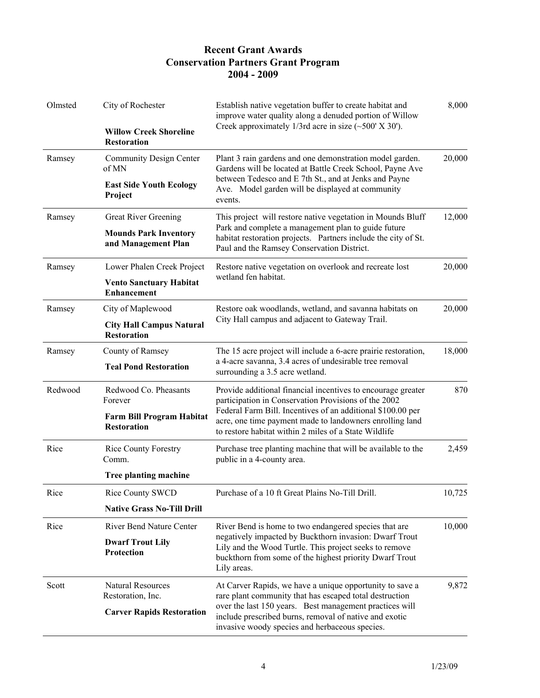| Olmsted | City of Rochester                                      | Establish native vegetation buffer to create habitat and<br>improve water quality along a denuded portion of Willow<br>Creek approximately 1/3rd acre in size $(\sim 500' \text{ X } 30')$ .                                                                                                             | 8,000  |
|---------|--------------------------------------------------------|----------------------------------------------------------------------------------------------------------------------------------------------------------------------------------------------------------------------------------------------------------------------------------------------------------|--------|
|         | <b>Willow Creek Shoreline</b><br><b>Restoration</b>    |                                                                                                                                                                                                                                                                                                          |        |
| Ramsey  | Community Design Center<br>of MN                       | Plant 3 rain gardens and one demonstration model garden.<br>Gardens will be located at Battle Creek School, Payne Ave<br>between Tedesco and E 7th St., and at Jenks and Payne<br>Ave. Model garden will be displayed at community<br>events.                                                            | 20,000 |
|         | <b>East Side Youth Ecology</b><br>Project              |                                                                                                                                                                                                                                                                                                          |        |
| Ramsey  | <b>Great River Greening</b>                            | This project will restore native vegetation in Mounds Bluff<br>Park and complete a management plan to guide future<br>habitat restoration projects. Partners include the city of St.<br>Paul and the Ramsey Conservation District.                                                                       | 12,000 |
|         | <b>Mounds Park Inventory</b><br>and Management Plan    |                                                                                                                                                                                                                                                                                                          |        |
| Ramsey  | Lower Phalen Creek Project                             | Restore native vegetation on overlook and recreate lost<br>wetland fen habitat.                                                                                                                                                                                                                          | 20,000 |
|         | <b>Vento Sanctuary Habitat</b><br><b>Enhancement</b>   |                                                                                                                                                                                                                                                                                                          |        |
| Ramsey  | City of Maplewood                                      | Restore oak woodlands, wetland, and savanna habitats on<br>City Hall campus and adjacent to Gateway Trail.                                                                                                                                                                                               | 20,000 |
|         | <b>City Hall Campus Natural</b><br><b>Restoration</b>  |                                                                                                                                                                                                                                                                                                          |        |
| Ramsey  | County of Ramsey                                       | The 15 acre project will include a 6-acre prairie restoration,<br>a 4-acre savanna, 3.4 acres of undesirable tree removal<br>surrounding a 3.5 acre wetland.                                                                                                                                             | 18,000 |
|         | <b>Teal Pond Restoration</b>                           |                                                                                                                                                                                                                                                                                                          |        |
| Redwood | Redwood Co. Pheasants<br>Forever                       | Provide additional financial incentives to encourage greater<br>participation in Conservation Provisions of the 2002<br>Federal Farm Bill. Incentives of an additional \$100.00 per<br>acre, one time payment made to landowners enrolling land<br>to restore habitat within 2 miles of a State Wildlife | 870    |
|         | <b>Farm Bill Program Habitat</b><br><b>Restoration</b> |                                                                                                                                                                                                                                                                                                          |        |
| Rice    | <b>Rice County Forestry</b><br>Comm.                   | Purchase tree planting machine that will be available to the<br>public in a 4-county area.                                                                                                                                                                                                               | 2,459  |
|         | Tree planting machine                                  |                                                                                                                                                                                                                                                                                                          |        |
| Rice    | Rice County SWCD                                       | Purchase of a 10 ft Great Plains No-Till Drill.                                                                                                                                                                                                                                                          | 10,725 |
|         | <b>Native Grass No-Till Drill</b>                      |                                                                                                                                                                                                                                                                                                          |        |
| Rice    | <b>River Bend Nature Center</b>                        | River Bend is home to two endangered species that are<br>negatively impacted by Buckthorn invasion: Dwarf Trout<br>Lily and the Wood Turtle. This project seeks to remove<br>buckthorn from some of the highest priority Dwarf Trout<br>Lily areas.                                                      | 10,000 |
|         | <b>Dwarf Trout Lily</b><br>Protection                  |                                                                                                                                                                                                                                                                                                          |        |
| Scott   | <b>Natural Resources</b><br>Restoration, Inc.          | At Carver Rapids, we have a unique opportunity to save a<br>rare plant community that has escaped total destruction<br>over the last 150 years. Best management practices will<br>include prescribed burns, removal of native and exotic<br>invasive woody species and herbaceous species.               | 9,872  |
|         | <b>Carver Rapids Restoration</b>                       |                                                                                                                                                                                                                                                                                                          |        |